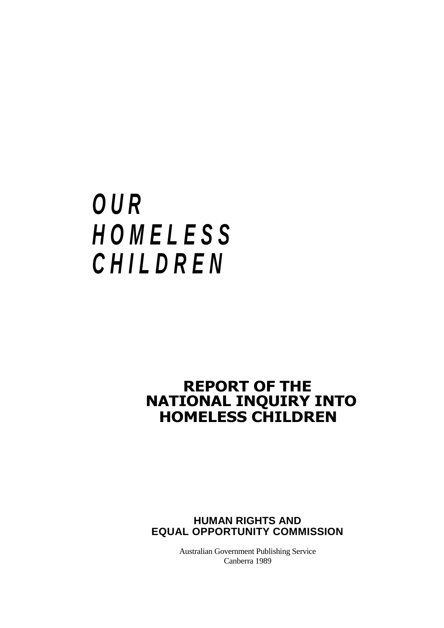# *O U R H O M E L E S S C H I L D R E N*

### **REPORT OF THE NATIONAL INQUIRY INTO HOMELESS CHILDREN**

**HUMAN RIGHTS AND EQUAL OPPORTUNITY COMMISSION**

> Australian Government Publishing Service Canberra 1989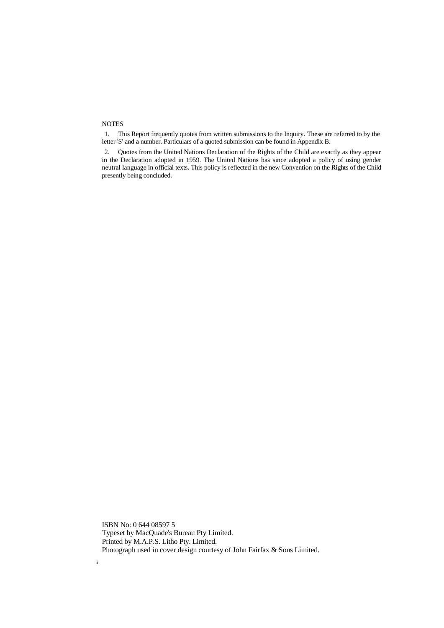#### **NOTES**

**i**

1. This Report frequently quotes from written submissions to the Inquiry. These are referred to by the letter 'S' and a number. Particulars of a quoted submission can be found in Appendix B.

2. Quotes from the United Nations Declaration of the Rights of the Child are exactly as they appear in the Declaration adopted in 1959. The United Nations has since adopted a policy of using gender neutral language in official texts. This policy is reflected in the new Convention on the Rights of the Child presently being concluded.

ISBN No: 0 644 08597 5 Typeset by MacQuade's Bureau Pty Limited. Printed by M.A.P.S. Litho Pty. Limited. Photograph used in cover design courtesy of John Fairfax & Sons Limited.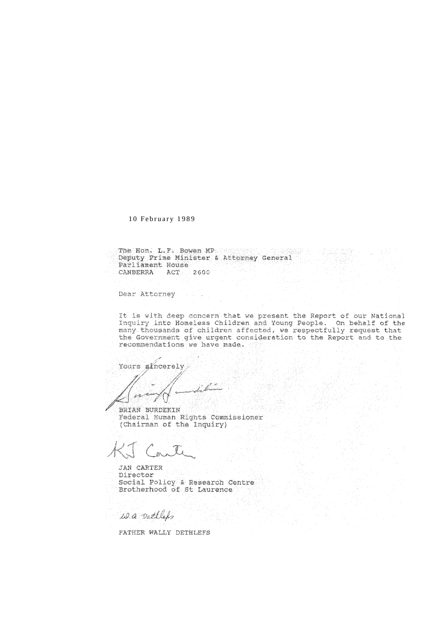10 February 1989

The Hone L.F. Bowen MP presented by the street Deputy Prime Minister & Attorney General Parliament House CANBERRA ACT 2600

Dear Attorney

It is with deep concern that we present the Report of our National Inquiry into Homeless Children and Young People. On behalf of the many thousands of children affected, we respectfully request that the Government give urgent consideration to the Report and to the recommendations we have made.

Yours sincerely

BRIAN BURDEKIN Federal Human Rights Commissioner<br>(Chairman of the Inquiry)

JAN CARTER Director Social Policy & Research Centre<br>Brotherhood of St Laurence

is a settles

FATHER WALLY DETHLEFS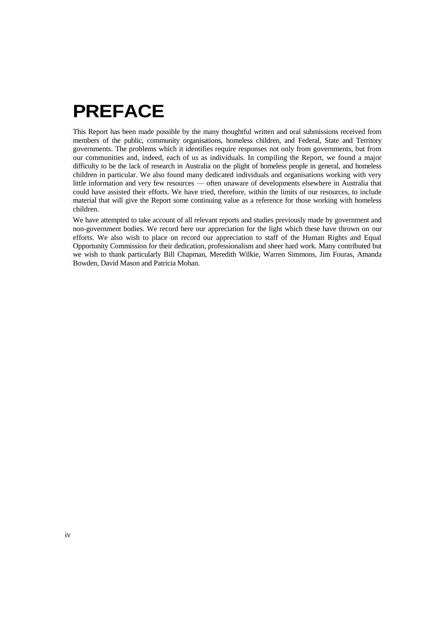### **PREFACE**

This Report has been made possible by the many thoughtful written and oral submissions received from members of the public, community organisations, homeless children, and Federal, State and Territory governments. The problems which it identifies require responses not only from governments, but from our communities and, indeed, each of us as individuals. In compiling the Report, we found a major difficulty to be the lack of research in Australia on the plight of homeless people in general, and homeless children in particular. We also found many dedicated individuals and organisations working with very little information and very few resources — often unaware of developments elsewhere in Australia that could have assisted their efforts. We have tried, therefore, within the limits of our resources, to include material that will give the Report some continuing value as a reference for those working with homeless children.

We have attempted to take account of all relevant reports and studies previously made by government and non-government bodies. We record here our appreciation for the light which these have thrown on our efforts. We also wish to place on record our appreciation to staff of the Human Rights and Equal Opportunity Commission for their dedication, professionalism and sheer hard work. Many contributed but we wish to thank particularly Bill Chapman, Meredith Wilkie, Warren Simmons, Jim Fouras, Amanda Bowden, David Mason and Patricia Mohan.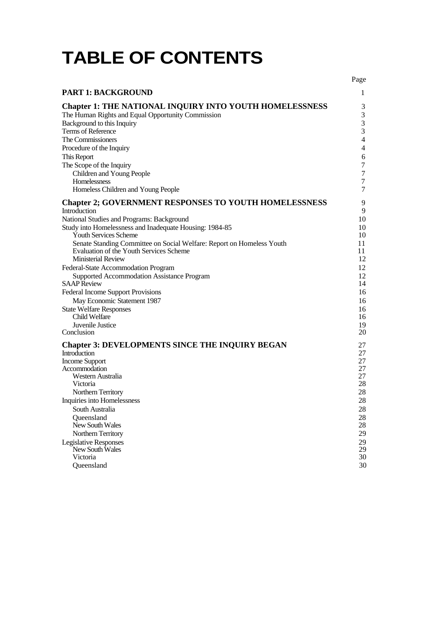## **TABLE OF CONTENTS**

|                                                                                  | Page             |
|----------------------------------------------------------------------------------|------------------|
| <b>PART 1: BACKGROUND</b>                                                        | 1                |
| <b>Chapter 1: THE NATIONAL INQUIRY INTO YOUTH HOMELESSNESS</b>                   | 3                |
| The Human Rights and Equal Opportunity Commission                                | $\mathfrak{Z}$   |
| Background to this Inquiry                                                       | $\mathfrak 3$    |
| Terms of Reference                                                               | $\mathfrak{Z}$   |
| The Commissioners                                                                | $\overline{4}$   |
| Procedure of the Inquiry                                                         | $\overline{4}$   |
| This Report                                                                      | 6                |
| The Scope of the Inquiry                                                         | $\boldsymbol{7}$ |
| Children and Young People                                                        | $\tau$           |
| Homelessness                                                                     | $\tau$           |
| Homeless Children and Young People                                               | $\tau$           |
|                                                                                  |                  |
| <b>Chapter 2; GOVERNMENT RESPONSES TO YOUTH HOMELESSNESS</b><br>Introduction     | 9<br>9           |
| National Studies and Programs: Background                                        | 10               |
|                                                                                  |                  |
| Study into Homelessness and Inadequate Housing: 1984-85<br>Youth Services Scheme | 10<br>10         |
| Senate Standing Committee on Social Welfare: Report on Homeless Youth            | 11               |
| Evaluation of the Youth Services Scheme                                          | 11               |
| <b>Ministerial Review</b>                                                        | 12               |
| Federal-State Accommodation Program                                              | 12               |
| Supported Accommodation Assistance Program                                       | 12               |
| <b>SAAP</b> Review                                                               | 14               |
| <b>Federal Income Support Provisions</b>                                         | 16               |
| May Economic Statement 1987                                                      | 16               |
| <b>State Welfare Responses</b>                                                   | 16               |
| Child Welfare                                                                    | 16               |
| Juvenile Justice                                                                 | 19               |
| Conclusion                                                                       | 20               |
| <b>Chapter 3: DEVELOPMENTS SINCE THE INQUIRY BEGAN</b>                           | 27               |
| Introduction                                                                     | 27               |
| Income Support                                                                   | 27               |
| Accommodation                                                                    | 27               |
| Western Australia                                                                | 27               |
| Victoria                                                                         | 28               |
| Northern Territory                                                               | 28               |
| Inquiries into Homelessness                                                      | 28               |
| South Australia                                                                  | 28               |
| Queensland                                                                       | 28               |
| New South Wales                                                                  | 28               |
| Northern Territory                                                               | 29               |
| <b>Legislative Responses</b>                                                     | 29               |
| New South Wales                                                                  | 29               |
| Victoria                                                                         | 30               |
| Queensland                                                                       | 30               |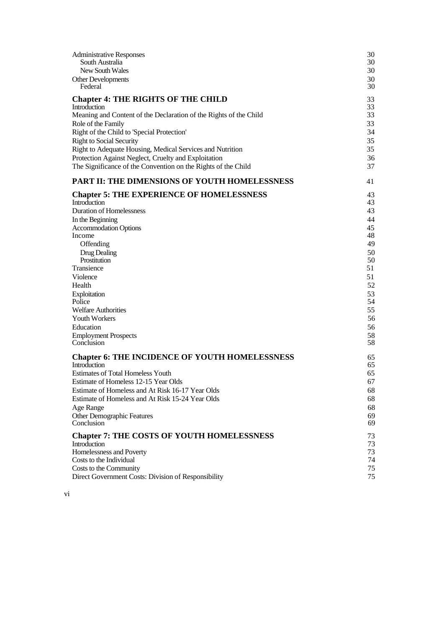| <b>Administrative Responses</b>                                   | 30 |
|-------------------------------------------------------------------|----|
| South Australia                                                   | 30 |
| New South Wales                                                   | 30 |
| Other Developments                                                | 30 |
| Federal                                                           | 30 |
| <b>Chapter 4: THE RIGHTS OF THE CHILD</b>                         | 33 |
| Introduction                                                      | 33 |
| Meaning and Content of the Declaration of the Rights of the Child | 33 |
| Role of the Family                                                | 33 |
| Right of the Child to 'Special Protection'                        | 34 |
| <b>Right to Social Security</b>                                   | 35 |
| Right to Adequate Housing, Medical Services and Nutrition         | 35 |
| Protection Against Neglect, Cruelty and Exploitation              | 36 |
| The Significance of the Convention on the Rights of the Child     | 37 |
| PART II: THE DIMENSIONS OF YOUTH HOMELESSNESS                     | 41 |
| <b>Chapter 5: THE EXPERIENCE OF HOMELESSNESS</b>                  | 43 |
| Introduction                                                      | 43 |
| <b>Duration of Homelessness</b>                                   | 43 |
| In the Beginning                                                  | 44 |
| <b>Accommodation Options</b>                                      | 45 |
| Income                                                            | 48 |
| Offending                                                         | 49 |
| Drug Dealing                                                      | 50 |
| Prostitution                                                      | 50 |
| Transience                                                        | 51 |
| Violence                                                          | 51 |
| Health                                                            | 52 |
| Exploitation                                                      | 53 |
| Police                                                            | 54 |
| <b>Welfare Authorities</b>                                        | 55 |
| <b>Youth Workers</b>                                              | 56 |
| Education                                                         | 56 |
| <b>Employment Prospects</b>                                       | 58 |
| Conclusion                                                        | 58 |
| <b>Chapter 6: THE INCIDENCE OF YOUTH HOMELESSNESS</b>             | 65 |
| Introduction                                                      | 65 |
| <b>Estimates of Total Homeless Youth</b>                          | 65 |
| Estimate of Homeless 12-15 Year Olds                              | 67 |
| Estimate of Homeless and At Risk 16-17 Year Olds                  | 68 |
| Estimate of Homeless and At Risk 15-24 Year Olds                  | 68 |
| Age Range                                                         | 68 |
| <b>Other Demographic Features</b>                                 | 69 |
| Conclusion                                                        | 69 |
| <b>Chapter 7: THE COSTS OF YOUTH HOMELESSNESS</b>                 | 73 |
| Introduction                                                      | 73 |
| Homelessness and Poverty                                          | 73 |
| Costs to the Individual                                           | 74 |
| Costs to the Community                                            | 75 |
| Direct Government Costs: Division of Responsibility               | 75 |

vi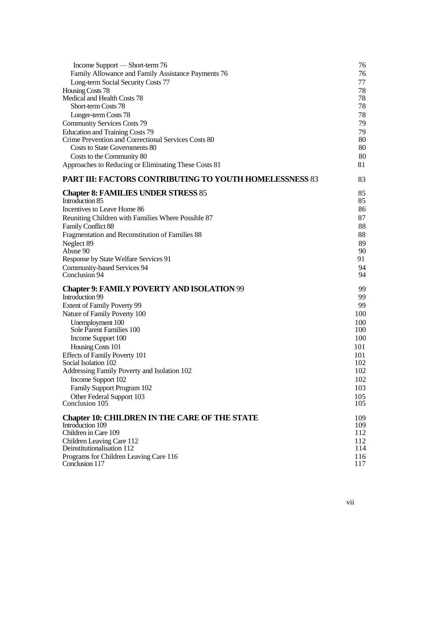| Income Support — Short-term 76                                       | 76                |
|----------------------------------------------------------------------|-------------------|
| Family Allowance and Family Assistance Payments 76                   | 76                |
| Long-term Social Security Costs 77                                   | 77                |
| Housing Costs 78                                                     | 78                |
| Medical and Health Costs 78                                          | 78                |
| Short-term Costs 78                                                  | 78                |
| Longer-term Costs 78                                                 | 78                |
| <b>Community Services Costs 79</b>                                   | 79                |
| <b>Education and Training Costs 79</b>                               | 79                |
| Crime Prevention and Correctional Services Costs 80                  | 80                |
| Costs to State Governments 80                                        | 80                |
| Costs to the Community 80                                            | 80                |
| Approaches to Reducing or Eliminating These Costs 81                 | 81                |
| <b>PART III: FACTORS CONTRIBUTING TO YOUTH HOMELESSNESS 83</b>       | 83                |
| <b>Chapter 8: FAMILIES UNDER STRESS 85</b>                           | 85                |
| Introduction 85                                                      | 85                |
| Incentives to Leave Home 86                                          | 86                |
| Reuniting Children with Families Where Possible 87                   | 87                |
| Family Conflict 88                                                   | 88                |
| Fragmentation and Reconstitution of Families 88                      | 88                |
| Neglect 89                                                           | 89                |
| Abuse 90                                                             | 90                |
| Response by State Welfare Services 91                                | 91.               |
| Community-based Services 94<br>Conclusion 94                         | 94<br>94          |
|                                                                      |                   |
|                                                                      |                   |
| <b>Chapter 9: FAMILY POVERTY AND ISOLATION 99</b>                    | 99                |
| Introduction 99                                                      | 99                |
| Extent of Family Poverty 99                                          | 99                |
| Nature of Family Poverty 100                                         | 100<br>100        |
| Unemployment 100<br>Sole Parent Families 100                         | 100               |
| Income Support 100                                                   | 100               |
| Housing Costs 101                                                    | 101               |
| <b>Effects of Family Poverty 101</b>                                 | 101               |
| Social Isolation 102                                                 | 102               |
| Addressing Family Poverty and Isolation 102                          | 102               |
| Income Support 102                                                   | 102               |
| Family Support Program 102                                           | 103               |
| Other Federal Support 103                                            | 105               |
| Conclusion 105                                                       | 105               |
| <b>Chapter 10: CHILDREN IN THE CARE OF THE STATE</b>                 | 109               |
| Introduction 109                                                     | 109               |
| Children in Care 109                                                 | 112               |
| Children Leaving Care 112                                            |                   |
| Deinstitutionalisation 112<br>Programs for Children Leaving Care 116 | 112<br>114<br>116 |

vii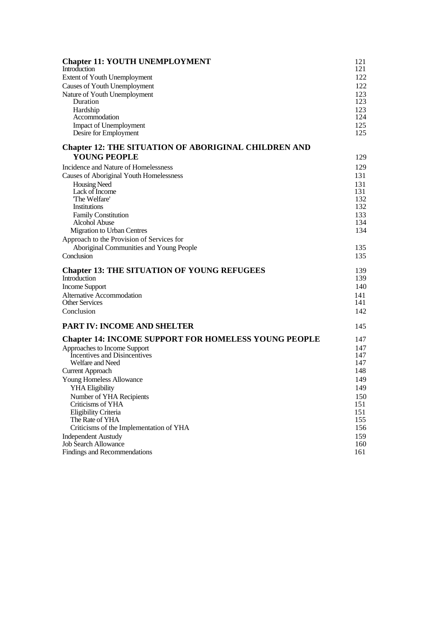| <b>Chapter 11: YOUTH UNEMPLOYMENT</b>                                                                                                                                                                                                                                              | 121                                                         |
|------------------------------------------------------------------------------------------------------------------------------------------------------------------------------------------------------------------------------------------------------------------------------------|-------------------------------------------------------------|
| Introduction                                                                                                                                                                                                                                                                       | 121                                                         |
| Extent of Youth Unemployment                                                                                                                                                                                                                                                       | 122                                                         |
| Causes of Youth Unemployment                                                                                                                                                                                                                                                       | 122                                                         |
| Nature of Youth Unemployment                                                                                                                                                                                                                                                       | 123                                                         |
| Duration                                                                                                                                                                                                                                                                           | 123                                                         |
| Hardship                                                                                                                                                                                                                                                                           | 123                                                         |
| Accommodation                                                                                                                                                                                                                                                                      | 124                                                         |
| Impact of Unemployment                                                                                                                                                                                                                                                             | 125                                                         |
| Desire for Employment                                                                                                                                                                                                                                                              | 125                                                         |
| <b>Chapter 12: THE SITUATION OF ABORIGINAL CHILDREN AND</b><br><b>YOUNG PEOPLE</b>                                                                                                                                                                                                 | 129                                                         |
| Incidence and Nature of Homelessness<br>Causes of Aboriginal Youth Homelessness<br><b>Housing Need</b><br>Lack of Income<br>The Welfare'<br>Institutions<br>Family Constitution<br>Alcohol Abuse<br><b>Migration to Urban Centres</b><br>Approach to the Provision of Services for | 129<br>131<br>131<br>131<br>132<br>132<br>133<br>134<br>134 |
| Aboriginal Communities and Young People                                                                                                                                                                                                                                            | 135                                                         |
| Conclusion                                                                                                                                                                                                                                                                         | 135                                                         |
| <b>Chapter 13: THE SITUATION OF YOUNG REFUGEES</b>                                                                                                                                                                                                                                 | 139                                                         |
| Introduction                                                                                                                                                                                                                                                                       | 139                                                         |
| <b>Income Support</b>                                                                                                                                                                                                                                                              | 140                                                         |
| Alternative Accommodation                                                                                                                                                                                                                                                          | 141                                                         |
| <b>Other Services</b>                                                                                                                                                                                                                                                              | 141                                                         |
| Conclusion                                                                                                                                                                                                                                                                         | 142                                                         |
| <b>PART IV: INCOME AND SHELTER</b>                                                                                                                                                                                                                                                 | 145                                                         |
| <b>Chapter 14: INCOME SUPPORT FOR HOMELESS YOUNG PEOPLE</b>                                                                                                                                                                                                                        | 147                                                         |
| Approaches to Income Support                                                                                                                                                                                                                                                       | 147                                                         |
| Incentives and Disincentives                                                                                                                                                                                                                                                       | 147                                                         |
| Welfare and Need                                                                                                                                                                                                                                                                   | 147                                                         |
| <b>Current Approach</b>                                                                                                                                                                                                                                                            | 148                                                         |
| Young Homeless Allowance                                                                                                                                                                                                                                                           | 149                                                         |
| YHA Eligibility                                                                                                                                                                                                                                                                    | 149                                                         |
| Number of YHA Recipients                                                                                                                                                                                                                                                           | 150                                                         |
| Criticisms of YHA                                                                                                                                                                                                                                                                  | 151                                                         |
| <b>Eligibility Criteria</b>                                                                                                                                                                                                                                                        | 151                                                         |
| The Rate of YHA                                                                                                                                                                                                                                                                    | 155                                                         |
| Criticisms of the Implementation of YHA                                                                                                                                                                                                                                            | 156                                                         |
| <b>Independent Austudy</b>                                                                                                                                                                                                                                                         | 159                                                         |
| <b>Job Search Allowance</b>                                                                                                                                                                                                                                                        | 160                                                         |
| Findings and Recommendations                                                                                                                                                                                                                                                       | 161                                                         |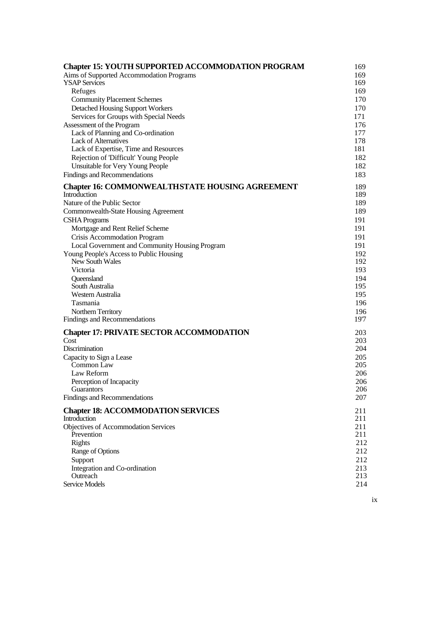| <b>Chapter 15: YOUTH SUPPORTED ACCOMMODATION PROGRAM</b>        | 169        |
|-----------------------------------------------------------------|------------|
| Aims of Supported Accommodation Programs                        | 169        |
| <b>YSAP Services</b>                                            | 169        |
| Refuges                                                         | 169        |
| <b>Community Placement Schemes</b>                              | 170        |
| <b>Detached Housing Support Workers</b>                         | 170        |
| Services for Groups with Special Needs                          | 171<br>176 |
| Assessment of the Program<br>Lack of Planning and Co-ordination | 177        |
| <b>Lack of Alternatives</b>                                     | 178        |
| Lack of Expertise, Time and Resources                           | 181        |
| Rejection of 'Difficult' Young People                           | 182        |
| Unsuitable for Very Young People                                | 182        |
| Findings and Recommendations                                    | 183        |
| <b>Chapter 16: COMMONWEALTHSTATE HOUSING AGREEMENT</b>          | 189        |
| Introduction                                                    | 189        |
| Nature of the Public Sector                                     | 189        |
| Commonwealth-State Housing Agreement                            | 189        |
| <b>CSHA Programs</b>                                            | 191        |
| Mortgage and Rent Relief Scheme                                 | 191        |
| Crisis Accommodation Program                                    | 191        |
| Local Government and Community Housing Program                  | 191        |
| Young People's Access to Public Housing                         | 192        |
| New South Wales                                                 | 192        |
| Victoria                                                        | 193        |
| Queensland                                                      | 194        |
| South Australia                                                 | 195        |
| Western Australia                                               | 195        |
| Tasmania                                                        | 196<br>196 |
| Northern Territory<br>Findings and Recommendations              | 197        |
|                                                                 |            |
| <b>Chapter 17: PRIVATE SECTOR ACCOMMODATION</b>                 | 203        |
| Cost                                                            | 203        |
| Discrimination                                                  | 204        |
| Capacity to Sign a Lease<br>Common Law                          | 205<br>205 |
| Law Reform                                                      | 206        |
| Perception of Incapacity                                        | 206        |
| Guarantors                                                      | 206        |
| Findings and Recommendations                                    | 207        |
| <b>Chapter 18: ACCOMMODATION SERVICES</b>                       | 211        |
| Introduction                                                    | 211        |
| <b>Objectives of Accommodation Services</b>                     | 211        |
| Prevention                                                      | 211        |
| Rights                                                          | 212        |
| Range of Options                                                | 212        |
| Support                                                         | 212        |
| Integration and Co-ordination                                   | 213        |
| Outreach<br>Service Models                                      | 213<br>214 |
|                                                                 |            |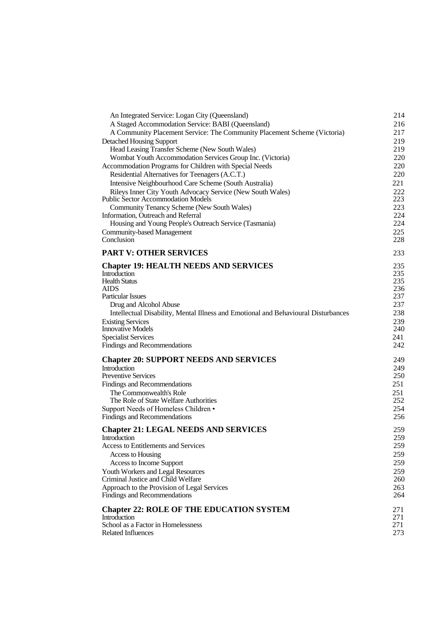| An Integrated Service: Logan City (Queensland)                                     | 214        |
|------------------------------------------------------------------------------------|------------|
| A Staged Accommodation Service: BABI (Queensland)                                  | 216        |
| A Community Placement Service: The Community Placement Scheme (Victoria)           | 217        |
| <b>Detached Housing Support</b>                                                    | 219        |
| Head Leasing Transfer Scheme (New South Wales)                                     | 219        |
| Wombat Youth Accommodation Services Group Inc. (Victoria)                          | 220        |
| Accommodation Programs for Children with Special Needs                             | 220        |
| Residential Alternatives for Teenagers (A.C.T.)                                    | 220        |
| Intensive Neighbourhood Care Scheme (South Australia)                              | 221        |
| Rileys Inner City Youth Advocacy Service (New South Wales)                         | 222        |
| <b>Public Sector Accommodation Models</b>                                          | 223        |
| Community Tenancy Scheme (New South Wales)                                         | 223        |
| Information, Outreach and Referral                                                 | 224        |
| Housing and Young People's Outreach Service (Tasmania)                             | 224        |
| <b>Community-based Management</b><br>Conclusion                                    | 225<br>228 |
|                                                                                    |            |
| <b>PART V: OTHER SERVICES</b>                                                      | 233        |
| <b>Chapter 19: HEALTH NEEDS AND SERVICES</b>                                       | 235        |
| Introduction                                                                       | 235        |
| <b>Health Status</b>                                                               | 235        |
| AIDS                                                                               | 236        |
| <b>Particular Issues</b>                                                           | 237        |
| Drug and Alcohol Abuse                                                             | 237        |
| Intellectual Disability, Mental Illness and Emotional and Behavioural Disturbances | 238        |
| <b>Existing Services</b>                                                           | 239        |
| <b>Innovative Models</b>                                                           | 240        |
| <b>Specialist Services</b>                                                         | 241        |
| Findings and Recommendations                                                       | 242        |
| <b>Chapter 20: SUPPORT NEEDS AND SERVICES</b>                                      | 249        |
| Introduction                                                                       | 249        |
| <b>Preventive Services</b>                                                         | 250        |
| Findings and Recommendations                                                       | 251        |
| The Commonwealth's Role                                                            | 251        |
| The Role of State Welfare Authorities                                              | 252        |
| Support Needs of Homeless Children •                                               | 254        |
| Findings and Recommendations                                                       | 256        |
| <b>Chapter 21: LEGAL NEEDS AND SERVICES</b>                                        | 259        |
| Introduction                                                                       | 259        |
| <b>Access to Entitlements and Services</b>                                         | 259        |
| Access to Housing                                                                  | 259        |
| Access to Income Support                                                           | 259        |
| Youth Workers and Legal Resources                                                  | 259        |
| Criminal Justice and Child Welfare                                                 | 260        |
| Approach to the Provision of Legal Services                                        | 263        |
| Findings and Recommendations                                                       | 264        |
| <b>Chapter 22: ROLE OF THE EDUCATION SYSTEM</b>                                    | 271        |
| Introduction                                                                       | 271        |
| School as a Factor in Homelessness                                                 | 271        |
| <b>Related Influences</b>                                                          | 273        |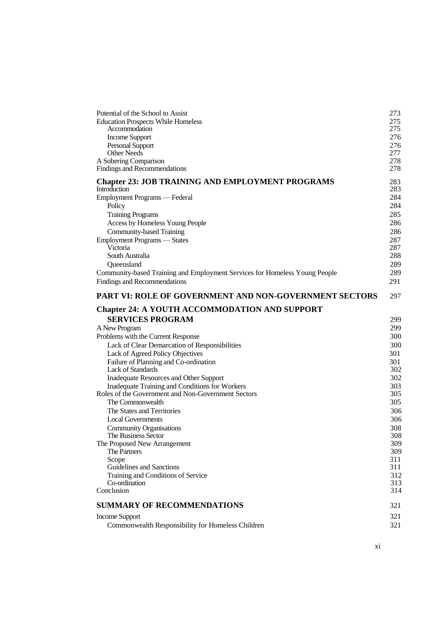| Potential of the School to Assist                                                                    | 273        |
|------------------------------------------------------------------------------------------------------|------------|
| <b>Education Prospects While Homeless</b><br>Accommodation                                           | 275<br>275 |
| Income Support                                                                                       | 276        |
| Personal Support                                                                                     | 276        |
| <b>Other Needs</b>                                                                                   | 277        |
| A Sobering Comparison                                                                                | 278        |
| Findings and Recommendations                                                                         | 278        |
| <b>Chapter 23: JOB TRAINING AND EMPLOYMENT PROGRAMS</b>                                              | 283        |
| Introduction                                                                                         | 283        |
| Employment Programs — Federal                                                                        | 284        |
| Policy                                                                                               | 284        |
| <b>Training Programs</b>                                                                             | 285<br>286 |
| Access by Homeless Young People<br>Community-based Training                                          | 286        |
| Employment Programs - States                                                                         | 287        |
| Victoria                                                                                             | 287        |
| South Australia                                                                                      | 288        |
| Queensland                                                                                           | 289        |
| Community-based Training and Employment Services for Homeless Young People                           | 289        |
| Findings and Recommendations                                                                         | 291        |
| PART VI: ROLE OF GOVERNMENT AND NON-GOVERNMENT SECTORS                                               | 297        |
| <b>Chapter 24: A YOUTH ACCOMMODATION AND SUPPORT</b>                                                 |            |
| <b>SERVICES PROGRAM</b>                                                                              | 299        |
| A New Program                                                                                        | 299        |
| Problems with the Current Response                                                                   | 300        |
| Lack of Clear Demarcation of Responsibilities                                                        | 300        |
| Lack of Agreed Policy Objectives                                                                     | 301        |
| Failure of Planning and Co-ordination                                                                | 301        |
| <b>Lack of Standards</b>                                                                             | 302        |
| Inadequate Resources and Other Support                                                               | 302        |
| Inadequate Training and Conditions for Workers<br>Roles of the Government and Non-Government Sectors | 303<br>305 |
| The Commonwealth                                                                                     | 305        |
| The States and Territories                                                                           | 306        |
| <b>Local Governments</b>                                                                             | 306        |
| <b>Community Organisations</b>                                                                       | 308        |
| The Business Sector                                                                                  | 308        |
| The Proposed New Arrangement                                                                         | 309        |
| The Partners                                                                                         | 309        |
| Scope<br>Guidelines and Sanctions                                                                    | 311        |
| Training and Conditions of Service                                                                   | 311<br>312 |
| Co-ordination                                                                                        | 313        |
| Conclusion                                                                                           | 314        |
| <b>SUMMARY OF RECOMMENDATIONS</b>                                                                    | 321        |
| <b>Income Support</b>                                                                                | 321        |
| Commonwealth Responsibility for Homeless Children                                                    | 321        |
|                                                                                                      |            |